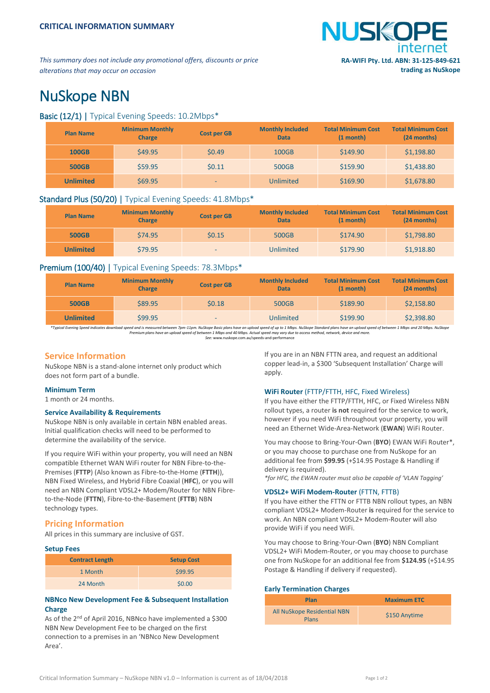

*This summary does not include any promotional offers, discounts or price alterations that may occur on occasion*

# NuSkope NBN

# Basic (12/1) | Typical Evening Speeds: 10.2Mbps\*

| <b>Plan Name</b> | <b>Minimum Monthly</b><br><b>Charge</b> | <b>Cost per GB</b> | <b>Monthly Included</b><br><b>Data</b> | <b>Total Minimum Cost</b><br>$(1$ month $)$ | <b>Total Minimum Cost</b><br>(24 months) |
|------------------|-----------------------------------------|--------------------|----------------------------------------|---------------------------------------------|------------------------------------------|
| <b>100GB</b>     | \$49.95                                 | \$0.49             | <b>100GB</b>                           | \$149.90                                    | \$1,198.80                               |
| <b>500GB</b>     | \$59.95                                 | \$0.11             | 500GB                                  | \$159.90                                    | \$1,438.80                               |
| <b>Unlimited</b> | \$69.95                                 | -                  | Unlimited                              | \$169.90                                    | \$1,678.80                               |

# Standard Plus (50/20) | Typical Evening Speeds: 41.8Mbps\*

| <b>Plan Name</b> | <b>Minimum Monthly</b><br><b>Charge</b> | <b>Cost per GB</b> | <b>Monthly Included</b><br><b>Data</b> | <b>Total Minimum Cost</b><br>$(1$ month) | <b>Total Minimum Cost</b><br>(24 months) |
|------------------|-----------------------------------------|--------------------|----------------------------------------|------------------------------------------|------------------------------------------|
| <b>500GB</b>     | \$74.95                                 | \$0.15             | 500GB                                  | \$174.90                                 | \$1,798.80                               |
| <b>Unlimited</b> | \$79.95                                 | $\sim$             | Unlimited                              | \$179.90                                 | \$1,918.80                               |

# Premium (100/40) | Typical Evening Speeds: 78.3Mbps\*

| <b>Plan Name</b> | <b>Minimum Monthly</b><br><b>Charge</b> | <b>Cost per GB</b> | <b>Monthly Included</b><br><b>Data</b> | <b>Total Minimum Cost</b><br>$(1$ month) | <b>Total Minimum Cost</b><br>(24 months) |
|------------------|-----------------------------------------|--------------------|----------------------------------------|------------------------------------------|------------------------------------------|
| <b>500GB</b>     | \$89.95                                 | \$0.18             | 500GB                                  | \$189.90                                 | \$2,158.80                               |
| <b>Unlimited</b> | \$99.95                                 | $\sim$             | <b>Unlimited</b>                       | \$199.90                                 | \$2,398.80                               |

\*Typical Evening Speed indicates download speed and is measured between 7pm-11pm. NuSkope Basic plans have an upload speed of un to Mbps. NuSkope Standard plans Nushape Standard plans have an upload speed of between 1 Mbps

*See:* www.nuskope.com.au/speeds-and-performance

# **Service Information**

NuSkope NBN is a stand-alone internet only product which does not form part of a bundle.

## **Minimum Term**

1 month or 24 months.

## **Service Availability & Requirements**

NuSkope NBN is only available in certain NBN enabled areas. Initial qualification checks will need to be performed to determine the availability of the service.

If you require WiFi within your property, you will need an NBN compatible Ethernet WAN WiFi router for NBN Fibre-to-the-Premises (**FTTP**) (Also known as Fibre-to-the-Home (**FTTH**)), NBN Fixed Wireless, and Hybrid Fibre Coaxial (**HFC**), or you will need an NBN Compliant VDSL2+ Modem/Router for NBN Fibreto-the-Node (**FTTN**), Fibre-to-the-Basement (**FTTB**) NBN technology types.

# **Pricing Information**

All prices in this summary are inclusive of GST.

#### **Setup Fees**

| <b>Contract Length</b> | <b>Setup Cost</b> |
|------------------------|-------------------|
| 1 Month                | \$99.95           |
| 24 Month               | \$0.00            |

# **NBNco New Development Fee & Subsequent Installation Charge**

As of the 2<sup>nd</sup> of April 2016, NBNco have implemented a \$300 NBN New Development Fee to be charged on the first connection to a premises in an 'NBNco New Development Area'.

If you are in an NBN FTTN area, and request an additional copper lead-in, a \$300 'Subsequent Installation' Charge will apply.

## **WiFi Router** (FTTP/FTTH, HFC, Fixed Wireless)

If you have either the FTTP/FTTH, HFC, or Fixed Wireless NBN rollout types, a router **is not** required for the service to work, however if you need WiFi throughout your property, you will need an Ethernet Wide-Area-Network (**EWAN**) WiFi Router.

You may choose to Bring-Your-Own (**BYO**) EWAN WiFi Router\*, or you may choose to purchase one from NuSkope for an additional fee from **\$99.95** (+\$14.95 Postage & Handling if delivery is required).

*\*for HFC, the EWAN router must also be capable of 'VLAN Tagging'*

## **VDSL2+ WiFi Modem-Router** (FTTN, FTTB)

If you have either the FTTN or FTTB NBN rollout types, an NBN compliant VDSL2+ Modem-Router **is** required for the service to work. An NBN compliant VDSL2+ Modem-Router will also provide WiFi if you need WiFi.

You may choose to Bring-Your-Own (**BYO**) NBN Compliant VDSL2+ WiFi Modem-Router, or you may choose to purchase one from NuSkope for an additional fee from **\$124.95** (+\$14.95 Postage & Handling if delivery if requested).

#### **Early Termination Charges**

| Plan                                        | <b>Maximum ETC</b> |
|---------------------------------------------|--------------------|
| All NuSkope Residential NBN<br><b>Plans</b> | \$150 Anytime      |